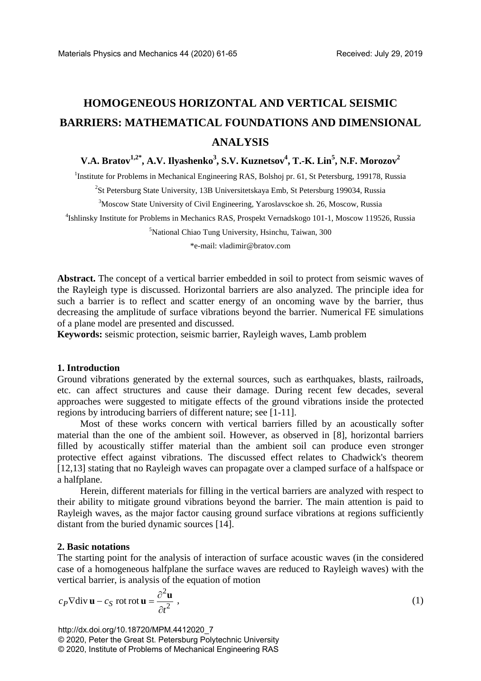# **HOMOGENEOUS HORIZONTAL AND VERTICAL SEISMIC BARRIERS: MATHEMATICAL FOUNDATIONS AND DIMENSIONAL ANALYSIS**

 $\bf{V.A. Bratov}^{1,2^*}, \bf{A.V.}$   $Ilyashenko^3, S.V. Kuznetsov^4, T.-K. Lin^5, N.F. Morozov^2$ 

<sup>1</sup>Institute for Problems in Mechanical Engineering RAS, Bolshoj pr. 61, St Petersburg, 199178, Russia

<sup>2</sup>St Petersburg State University, 13B Universitetskaya Emb, St Petersburg 199034, Russia

<sup>3</sup>Moscow State University of Civil Engineering, Yaroslavsckoe sh. 26, Moscow, Russia

4 Ishlinsky Institute for Problems in Mechanics RAS, Prospekt Vernadskogo 101-1, Moscow 119526, Russia

5 National Chiao Tung University, Hsinchu, Taiwan, 300

\*e-mail: vladimir@bratov.com

**Abstract.** The concept of a vertical barrier embedded in soil to protect from seismic waves of the Rayleigh type is discussed. Horizontal barriers are also analyzed. The principle idea for such a barrier is to reflect and scatter energy of an oncoming wave by the barrier, thus decreasing the amplitude of surface vibrations beyond the barrier. Numerical FE simulations of a plane model are presented and discussed.

**Keywords:** seismic protection, seismic barrier, Rayleigh waves, Lamb problem

### **1. Introduction**

Ground vibrations generated by the external sources, such as earthquakes, blasts, railroads, etc. can affect structures and cause their damage. During recent few decades, several approaches were suggested to mitigate effects of the ground vibrations inside the protected regions by introducing barriers of different nature; see [1-11].

Most of these works concern with vertical barriers filled by an acoustically softer material than the one of the ambient soil. However, as observed in [8], horizontal barriers filled by acoustically stiffer material than the ambient soil can produce even stronger protective effect against vibrations. The discussed effect relates to Chadwick's theorem [12,13] stating that no Rayleigh waves can propagate over a clamped surface of a halfspace or a halfplane.

Herein, different materials for filling in the vertical barriers are analyzed with respect to their ability to mitigate ground vibrations beyond the barrier. The main attention is paid to Rayleigh waves, as the major factor causing ground surface vibrations at regions sufficiently distant from the buried dynamic sources [14].

#### **2. Basic notations**

The starting point for the analysis of interaction of surface acoustic waves (in the considered case of a homogeneous halfplane the surface waves are reduced to Rayleigh waves) with the vertical barrier, is analysis of the equation of motion

$$
c_P \nabla \text{div } \mathbf{u} - c_S \text{ rot } \mathbf{v} = \frac{\partial^2 \mathbf{u}}{\partial t^2} \tag{1}
$$

http://dx.doi.org/10.18720/MPM.4412020\_7 © 2020, Peter the Great St. Petersburg Polytechnic University © 2020, Institute of Problems of Mechanical Engineering RAS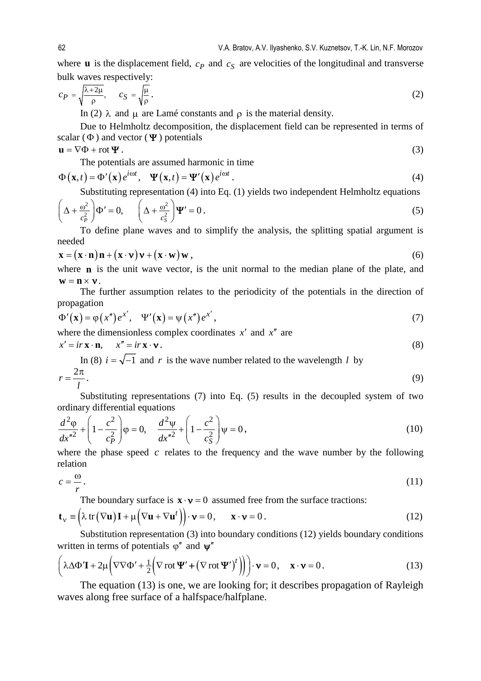where **u** is the displacement field,  $c_p$  and  $c_s$  are velocities of the longitudinal and transverse bulk waves respectively:

$$
c_P = \sqrt{\frac{\lambda + 2\mu}{\rho}}, \qquad c_S = \sqrt{\frac{\mu}{\rho}}.
$$
 (2)

In (2) λ and μ are Lamé constants and  $ρ$  is the material density.

Due to Helmholtz decomposition, the displacement field can be represented in terms of scalar ( $\Phi$ ) and vector ( $\Psi$ ) potentials

$$
\mathbf{u} = \nabla \Phi + \operatorname{rot} \Psi . \tag{3}
$$

The potentials are assumed harmonic in time

$$
\Phi(\mathbf{x},t) = \Phi'(\mathbf{x})e^{i\omega t}, \quad \Psi(\mathbf{x},t) = \Psi'(\mathbf{x})e^{i\omega t}.
$$
\n(4)

Substituting representation (4) into Eq. (1) yields two independent Helmholtz equations

$$
\left(\Delta + \frac{\omega^2}{c_P^2}\right)\Phi' = 0, \qquad \left(\Delta + \frac{\omega^2}{c_S^2}\right)\Psi' = 0.
$$
\n(5)

To define plane waves and to simplify the analysis, the splitting spatial argument is needed

$$
\mathbf{x} = (\mathbf{x} \cdot \mathbf{n}) \mathbf{n} + (\mathbf{x} \cdot \mathbf{v}) \mathbf{v} + (\mathbf{x} \cdot \mathbf{w}) \mathbf{w},
$$
 (6)

where **n** is the unit wave vector, is the unit normal to the median plane of the plate, and  $\mathbf{w} = \mathbf{n} \times \mathbf{v}$ .

The further assumption relates to the periodicity of the potentials in the direction of propagation

$$
\Phi'(\mathbf{x}) = \varphi(x'')e^{x'}, \quad \Psi'(\mathbf{x}) = \psi(x'')e^{x'}, \tag{7}
$$

where the dimensionless complex coordinates *x*′ and *x*′′ are

$$
x' = ir\mathbf{x} \cdot \mathbf{n}, \qquad x'' = ir\mathbf{x} \cdot \mathbf{v} \,. \tag{8}
$$

In (8)  $i = \sqrt{-1}$  and r is the wave number related to the wavelength *l* by

$$
r = \frac{2\pi}{l}.\tag{9}
$$

Substituting representations (7) into Eq. (5) results in the decoupled system of two ordinary differential equations

$$
\frac{d^2\varphi}{dx^{n^2}} + \left(1 - \frac{c^2}{c_P^2}\right)\varphi = 0, \quad \frac{d^2\psi}{dx^{n^2}} + \left(1 - \frac{c^2}{c_S^2}\right)\psi = 0,
$$
\n(10)

where the phase speed  $c$  relates to the frequency and the wave number by the following relation

$$
c = \frac{\omega}{r}.\tag{11}
$$

The boundary surface is  $\mathbf{x} \cdot \mathbf{v} = 0$  assumed free from the surface tractions:

$$
\mathbf{t}_{\mathbf{v}} \equiv \left(\lambda \operatorname{tr}(\nabla \mathbf{u}) \mathbf{I} + \mu \left(\nabla \mathbf{u} + \nabla \mathbf{u}^{t}\right)\right) \cdot \mathbf{v} = 0, \quad \mathbf{x} \cdot \mathbf{v} = 0. \tag{12}
$$

Substitution representation (3) into boundary conditions (12) yields boundary conditions written in terms of potentials  $\varphi''$  and  $\psi''$ 

$$
\left(\lambda \Delta \Phi' \mathbf{I} + 2\mu \left(\nabla \nabla \Phi' + \frac{1}{2} \left(\nabla \operatorname{rot} \Psi' + \left(\nabla \operatorname{rot} \Psi'\right)^t\right)\right)\right) \cdot \mathbf{v} = 0, \quad \mathbf{x} \cdot \mathbf{v} = 0. \tag{13}
$$

The equation (13) is one, we are looking for; it describes propagation of Rayleigh waves along free surface of a halfspace/halfplane.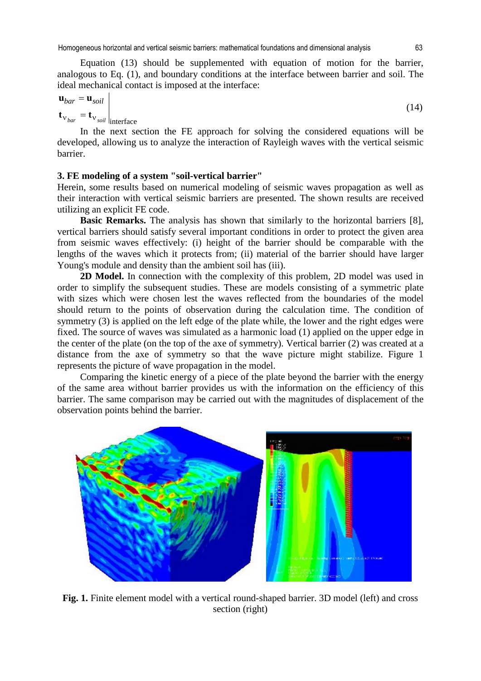Homogeneous horizontal and vertical seismic barriers: mathematical foundations and dimensional analysis 63

Equation (13) should be supplemented with equation of motion for the barrier, analogous to Eq. (1), and boundary conditions at the interface between barrier and soil. The ideal mechanical contact is imposed at the interface:

$$
\mathbf{u}_{bar} = \mathbf{u}_{soil}
$$
\n
$$
\mathbf{t}_{v_{bar}} = \mathbf{t}_{v_{soil}}
$$
\n
$$
(14)
$$

In the next section the FE approach for solving the considered equations will be developed, allowing us to analyze the interaction of Rayleigh waves with the vertical seismic barrier.

# **3. FE modeling of a system "soil-vertical barrier"**

Herein, some results based on numerical modeling of seismic waves propagation as well as their interaction with vertical seismic barriers are presented. The shown results are received utilizing an explicit FE code.

**Basic Remarks.** The analysis has shown that similarly to the horizontal barriers [8], vertical barriers should satisfy several important conditions in order to protect the given area from seismic waves effectively: (i) height of the barrier should be comparable with the lengths of the waves which it protects from; (ii) material of the barrier should have larger Young's module and density than the ambient soil has (iii).

**2D Model.** In connection with the complexity of this problem, 2D model was used in order to simplify the subsequent studies. These are models consisting of a symmetric plate with sizes which were chosen lest the waves reflected from the boundaries of the model should return to the points of observation during the calculation time. The condition of symmetry (3) is applied on the left edge of the plate while, the lower and the right edges were fixed. The source of waves was simulated as a harmonic load (1) applied on the upper edge in the center of the plate (on the top of the axe of symmetry). Vertical barrier (2) was created at a distance from the axe of symmetry so that the wave picture might stabilize. Figure 1 represents the picture of wave propagation in the model.

Comparing the kinetic energy of a piece of the plate beyond the barrier with the energy of the same area without barrier provides us with the information on the efficiency of this barrier. The same comparison may be carried out with the magnitudes of displacement of the observation points behind the barrier.



**Fig. 1.** Finite element model with a vertical round-shaped barrier. 3D model (left) and cross section (right)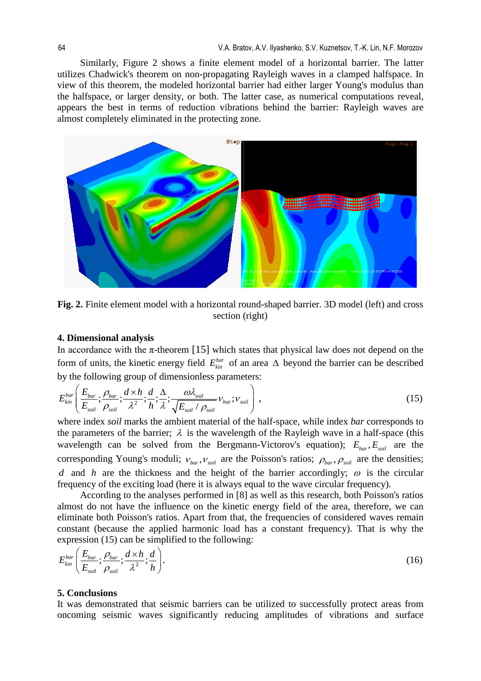Similarly, Figure 2 shows a finite element model of a horizontal barrier. The latter utilizes Chadwick's theorem on non-propagating Rayleigh waves in a clamped halfspace. In view of this theorem, the modeled horizontal barrier had either larger Young's modulus than the halfspace, or larger density, or both. The latter case, as numerical computations reveal, appears the best in terms of reduction vibrations behind the barrier: Rayleigh waves are almost completely eliminated in the protecting zone.



**Fig. 2.** Finite element model with a horizontal round-shaped barrier. 3D model (left) and cross section (right)

## **4. Dimensional analysis**

In accordance with the  $\pi$ -theorem [15] which states that physical law does not depend on the form of units, the kinetic energy field  $E_{kin}^{bar}$  of an area  $\Delta$  beyond the barrier can be described by the following group of dimensionless parameters:

$$
E_{kin}^{bar}\left(\frac{E_{bar}}{E_{soil}};\frac{\rho_{bar}}{\rho_{soil}};\frac{d\times h}{\lambda^2};\frac{d}{h};\frac{\Delta}{\lambda};\frac{\omega\lambda_{soil}}{\sqrt{E_{soil}}/\rho_{soil}}\nu_{bar};\nu_{soil}\right),\tag{15}
$$

where index *soil* marks the ambient material of the half-space, while index *bar* corresponds to the parameters of the barrier;  $\lambda$  is the wavelength of the Rayleigh wave in a half-space (this wavelength can be solved from the Bergmann-Victorov's equation);  $E_{bar}$ ,  $E_{sat}$  are the corresponding Young's moduli;  $v_{bar}$ ,  $v_{soil}$  are the Poisson's ratios;  $\rho_{bar}$ ,  $\rho_{soil}$  are the densities; *d* and *h* are the thickness and the height of the barrier accordingly;  $\omega$  is the circular frequency of the exciting load (here it is always equal to the wave circular frequency).

According to the analyses performed in [8] as well as this research, both Poisson's ratios almost do not have the influence on the kinetic energy field of the area, therefore, we can eliminate both Poisson's ratios. Apart from that, the frequencies of considered waves remain constant (because the applied harmonic load has a constant frequency). That is why the expression (15) can be simplified to the following:

$$
E_{kin}^{bar}\left(\frac{E_{bar}}{E_{soil}};\frac{\rho_{bar}}{\rho_{soil}};\frac{d\times h}{\lambda^2};\frac{d}{h}\right).
$$
\n(16)

#### **5. Conclusions**

It was demonstrated that seismic barriers can be utilized to successfully protect areas from oncoming seismic waves significantly reducing amplitudes of vibrations and surface